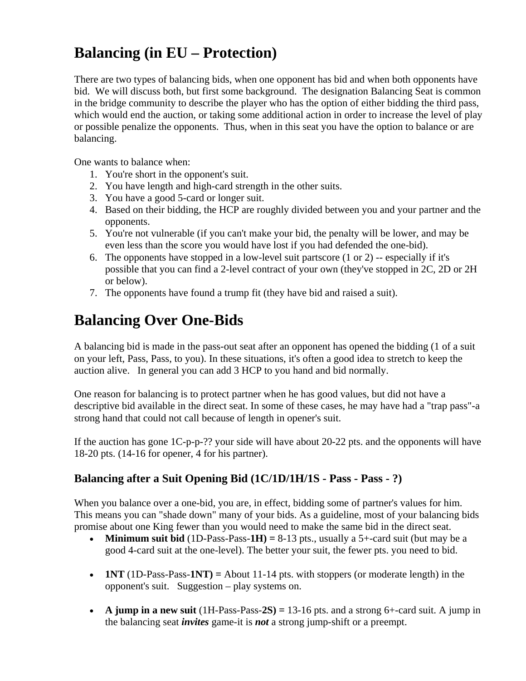# **Balancing (in EU – Protection)**

There are two types of balancing bids, when one opponent has bid and when both opponents have bid. We will discuss both, but first some background. The designation Balancing Seat is common in the bridge community to describe the player who has the option of either bidding the third pass, which would end the auction, or taking some additional action in order to increase the level of play or possible penalize the opponents. Thus, when in this seat you have the option to balance or are balancing.

One wants to balance when:

- 1. You're short in the opponent's suit.
- 2. You have length and high-card strength in the other suits.
- 3. You have a good 5-card or longer suit.
- 4. Based on their bidding, the HCP are roughly divided between you and your partner and the opponents.
- 5. You're not vulnerable (if you can't make your bid, the penalty will be lower, and may be even less than the score you would have lost if you had defended the one-bid).
- 6. The opponents have stopped in a low-level suit partscore (1 or 2) -- especially if it's possible that you can find a 2-level contract of your own (they've stopped in 2C, 2D or 2H or below).
- 7. The opponents have found a trump fit (they have bid and raised a suit).

# **Balancing Over One-Bids**

A balancing bid is made in the pass-out seat after an opponent has opened the bidding (1 of a suit on your left, Pass, Pass, to you). In these situations, it's often a good idea to stretch to keep the auction alive. In general you can add 3 HCP to you hand and bid normally.

One reason for balancing is to protect partner when he has good values, but did not have a descriptive bid available in the direct seat. In some of these cases, he may have had a "trap pass"-a strong hand that could not call because of length in opener's suit.

If the auction has gone 1C-p-p-?? your side will have about 20-22 pts. and the opponents will have 18-20 pts. (14-16 for opener, 4 for his partner).

## **Balancing after a Suit Opening Bid (1C/1D/1H/1S - Pass - Pass - ?)**

When you balance over a one-bid, you are, in effect, bidding some of partner's values for him. This means you can "shade down" many of your bids. As a guideline, most of your balancing bids promise about one King fewer than you would need to make the same bid in the direct seat.

- **Minimum suit bid** (1D-Pass-Pass-1H) =  $8-13$  pts., usually a  $5+$ -card suit (but may be a good 4-card suit at the one-level). The better your suit, the fewer pts. you need to bid.
- **1NT** (1D-Pass-Pass-**1NT) =** About 11-14 pts. with stoppers (or moderate length) in the opponent's suit. Suggestion – play systems on.
- **A jump in a new suit**  $(1H-Pass-Pass-2S) = 13-16$  pts. and a strong  $6+$ -card suit. A jump in the balancing seat *invites* game-it is *not* a strong jump-shift or a preempt.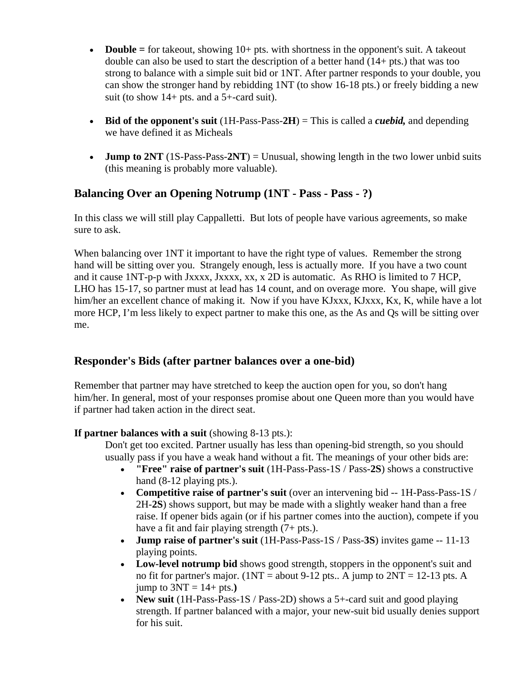- **Double** = for takeout, showing  $10+$  pts. with shortness in the opponent's suit. A takeout double can also be used to start the description of a better hand (14+ pts.) that was too strong to balance with a simple suit bid or 1NT. After partner responds to your double, you can show the stronger hand by rebidding 1NT (to show 16-18 pts.) or freely bidding a new suit (to show  $14+$  pts. and a 5+-card suit).
- **Bid of the opponent's suit** (1H-Pass-Pass-**2H**) = This is called a *cuebid,* and depending we have defined it as Micheals
- **Jump to 2NT** (1S-Pass-Pass-**2NT**) = Unusual, showing length in the two lower unbid suits (this meaning is probably more valuable).

### **Balancing Over an Opening Notrump (1NT - Pass - Pass - ?)**

In this class we will still play Cappalletti. But lots of people have various agreements, so make sure to ask.

When balancing over  $1NT$  it important to have the right type of values. Remember the strong hand will be sitting over you. Strangely enough, less is actually more. If you have a two count and it cause 1NT-p-p with Jxxxx, Jxxxx, xx, x 2D is automatic. As RHO is limited to 7 HCP, LHO has 15-17, so partner must at lead has 14 count, and on overage more. You shape, will give him/her an excellent chance of making it. Now if you have KJxxx, KJxxx, Kx, K, while have a lot more HCP, I'm less likely to expect partner to make this one, as the As and Qs will be sitting over me.

#### **Responder's Bids (after partner balances over a one-bid)**

Remember that partner may have stretched to keep the auction open for you, so don't hang him/her. In general, most of your responses promise about one Queen more than you would have if partner had taken action in the direct seat.

#### **If partner balances with a suit** (showing 8-13 pts.):

Don't get too excited. Partner usually has less than opening-bid strength, so you should usually pass if you have a weak hand without a fit. The meanings of your other bids are:

- **"Free" raise of partner's suit** (1H-Pass-Pass-1S / Pass-**2S**) shows a constructive hand  $(8-12$  playing pts.).
- **Competitive raise of partner's suit** (over an intervening bid -- 1H-Pass-Pass-1S / 2H-**2S**) shows support, but may be made with a slightly weaker hand than a free raise. If opener bids again (or if his partner comes into the auction), compete if you have a fit and fair playing strength  $(7 + \text{pts.})$ .
- **Jump raise of partner's suit** (1H-Pass-Pass-1S / Pass-**3S**) invites game -- 11-13 playing points.
- **Low-level notrump bid** shows good strength, stoppers in the opponent's suit and no fit for partner's major. ( $1NT = about 9-12$  pts.. A jump to  $2NT = 12-13$  pts. A jump to  $3NT = 14 + pts.$ )
- **New suit** (1H-Pass-Pass-1S / Pass-2D) shows a 5+-card suit and good playing strength. If partner balanced with a major, your new-suit bid usually denies support for his suit.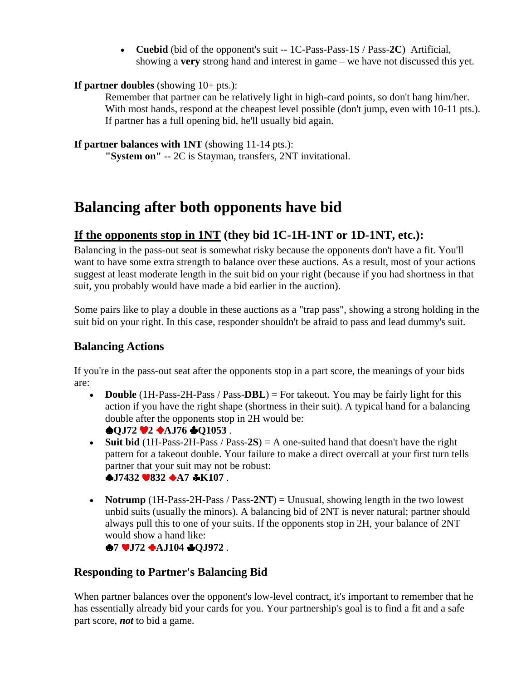• **Cuebid** (bid of the opponent's suit -- 1C-Pass-Pass-1S / Pass-**2C**) Artificial, showing a **very** strong hand and interest in game – we have not discussed this yet.

#### **If partner doubles** (showing 10+ pts.):

Remember that partner can be relatively light in high-card points, so don't hang him/her. With most hands, respond at the cheapest level possible (don't jump, even with 10-11 pts.). If partner has a full opening bid, he'll usually bid again.

**If partner balances with 1NT** (showing 11-14 pts.):

**"System on"** -- 2C is Stayman, transfers, 2NT invitational.

## **Balancing after both opponents have bid**

## **If the opponents stop in 1NT (they bid 1C-1H-1NT or 1D-1NT, etc.):**

Balancing in the pass-out seat is somewhat risky because the opponents don't have a fit. You'll want to have some extra strength to balance over these auctions. As a result, most of your actions suggest at least moderate length in the suit bid on your right (because if you had shortness in that suit, you probably would have made a bid earlier in the auction).

Some pairs like to play a double in these auctions as a "trap pass", showing a strong holding in the suit bid on your right. In this case, responder shouldn't be afraid to pass and lead dummy's suit.

### **Balancing Actions**

If you're in the pass-out seat after the opponents stop in a part score, the meanings of your bids are:

- **Double** (1H-Pass-2H-Pass / Pass-**DBL**) = For takeout. You may be fairly light for this action if you have the right shape (shortness in their suit). A typical hand for a balancing double after the opponents stop in 2H would be:  $\triangle$ QJ72  $\triangleleft$ 2  $\triangle$ AJ76  $\triangle$ Q1053.
- **Suit bid** (1H-Pass-2H-Pass / Pass-2S) = A one-suited hand that doesn't have the right pattern for a takeout double. Your failure to make a direct overcall at your first turn tells partner that your suit may not be robust:  $\bullet$ **J7432**  $\bullet$ **832**  $\bullet$ **A7**  $\bullet$ **K107**.
- **Notrump** (1H-Pass-2H-Pass / Pass-2NT) = Unusual, showing length in the two lowest unbid suits (usually the minors). A balancing bid of 2NT is never natural; partner should always pull this to one of your suits. If the opponents stop in 2H, your balance of 2NT would show a hand like:

 $\bullet$ 7  $\bullet$  J72  $\bullet$  AJ104  $\bullet$  QJ972.

## **Responding to Partner's Balancing Bid**

When partner balances over the opponent's low-level contract, it's important to remember that he has essentially already bid your cards for you. Your partnership's goal is to find a fit and a safe part score, *not* to bid a game.